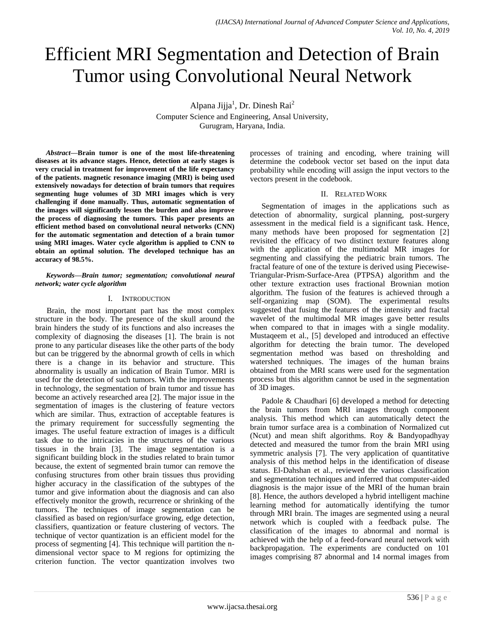# Efficient MRI Segmentation and Detection of Brain Tumor using Convolutional Neural Network

Alpana Jijja<sup>1</sup>, Dr. Dinesh Rai<sup>2</sup>

Computer Science and Engineering, Ansal University, Gurugram, Haryana, India.

*Abstract***—Brain tumor is one of the most life-threatening diseases at its advance stages. Hence, detection at early stages is very crucial in treatment for improvement of the life expectancy of the patients. magnetic resonance imaging (MRI) is being used extensively nowadays for detection of brain tumors that requires segmenting huge volumes of 3D MRI images which is very challenging if done manually. Thus, automatic segmentation of the images will significantly lessen the burden and also improve the process of diagnosing the tumors. This paper presents an efficient method based on convolutional neural networks (CNN) for the automatic segmentation and detection of a brain tumor using MRI images. Water cycle algorithm is applied to CNN to obtain an optimal solution. The developed technique has an accuracy of 98.5%.**

#### *Keywords—Brain tumor; segmentation; convolutional neural network; water cycle algorithm*

# I. INTRODUCTION

Brain, the most important part has the most complex structure in the body. The presence of the skull around the brain hinders the study of its functions and also increases the complexity of diagnosing the diseases [1]. The brain is not prone to any particular diseases like the other parts of the body but can be triggered by the abnormal growth of cells in which there is a change in its behavior and structure. This abnormality is usually an indication of Brain Tumor. MRI is used for the detection of such tumors. With the improvements in technology, the segmentation of brain tumor and tissue has become an actively researched area [2]. The major issue in the segmentation of images is the clustering of feature vectors which are similar. Thus, extraction of acceptable features is the primary requirement for successfully segmenting the images. The useful feature extraction of images is a difficult task due to the intricacies in the structures of the various tissues in the brain [3]. The image segmentation is a significant building block in the studies related to brain tumor because, the extent of segmented brain tumor can remove the confusing structures from other brain tissues thus providing higher accuracy in the classification of the subtypes of the tumor and give information about the diagnosis and can also effectively monitor the growth, recurrence or shrinking of the tumors. The techniques of image segmentation can be classified as based on region/surface growing, edge detection, classifiers, quantization or feature clustering of vectors. The technique of vector quantization is an efficient model for the process of segmenting [4]. This technique will partition the ndimensional vector space to M regions for optimizing the criterion function. The vector quantization involves two

processes of training and encoding, where training will determine the codebook vector set based on the input data probability while encoding will assign the input vectors to the vectors present in the codebook.

# II. RELATED WORK

Segmentation of images in the applications such as detection of abnormality, surgical planning, post-surgery assessment in the medical field is a significant task. Hence, many methods have been proposed for segmentation [2] revisited the efficacy of two distinct texture features along with the application of the multimodal MR images for segmenting and classifying the pediatric brain tumors. The fractal feature of one of the texture is derived using Piecewise-Triangular-Prism-Surface-Area (PTPSA) algorithm and the other texture extraction uses fractional Brownian motion algorithm. The fusion of the features is achieved through a self-organizing map (SOM). The experimental results suggested that fusing the features of the intensity and fractal wavelet of the multimodal MR images gave better results when compared to that in images with a single modality. Mustaqeem et al., [5] developed and introduced an effective algorithm for detecting the brain tumor. The developed segmentation method was based on thresholding and watershed techniques. The images of the human brains obtained from the MRI scans were used for the segmentation process but this algorithm cannot be used in the segmentation of 3D images.

Padole & Chaudhari [6] developed a method for detecting the brain tumors from MRI images through component analysis. This method which can automatically detect the brain tumor surface area is a combination of Normalized cut (Ncut) and mean shift algorithms. Roy & Bandyopadhyay detected and measured the tumor from the brain MRI using symmetric analysis [7]. The very application of quantitative analysis of this method helps in the identification of disease status. El-Dahshan et al., reviewed the various classification and segmentation techniques and inferred that computer-aided diagnosis is the major issue of the MRI of the human brain [8]. Hence, the authors developed a hybrid intelligent machine learning method for automatically identifying the tumor through MRI brain. The images are segmented using a neural network which is coupled with a feedback pulse. The classification of the images to abnormal and normal is achieved with the help of a feed-forward neural network with backpropagation. The experiments are conducted on 101 images comprising 87 abnormal and 14 normal images from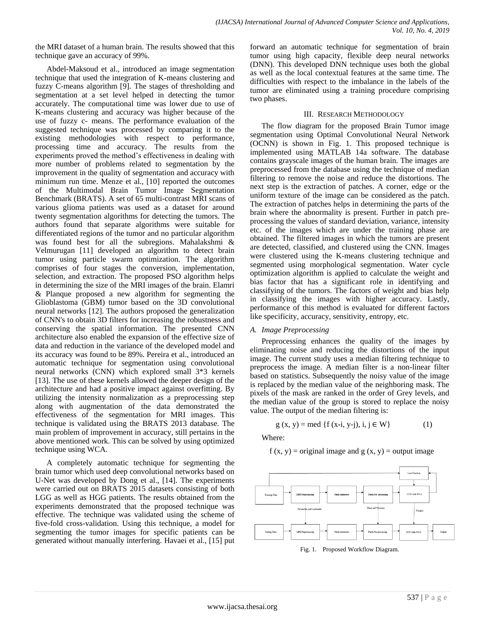the MRI dataset of a human brain. The results showed that this technique gave an accuracy of 99%.

Abdel-Maksoud et al., introduced an image segmentation technique that used the integration of K-means clustering and fuzzy C-means algorithm [9]. The stages of thresholding and segmentation at a set level helped in detecting the tumor accurately. The computational time was lower due to use of K-means clustering and accuracy was higher because of the use of fuzzy c- means. The performance evaluation of the suggested technique was processed by comparing it to the existing methodologies with respect to performance, processing time and accuracy. The results from the experiments proved the method's effectiveness in dealing with more number of problems related to segmentation by the improvement in the quality of segmentation and accuracy with minimum run time. Menze et al., [10] reported the outcomes of the Multimodal Brain Tumor Image Segmentation Benchmark (BRATS). A set of 65 multi-contrast MRI scans of various glioma patients was used as a dataset for around twenty segmentation algorithms for detecting the tumors. The authors found that separate algorithms were suitable for differentiated regions of the tumor and no particular algorithm was found best for all the subregions. Mahalakshmi & Velmurugan [11] developed an algorithm to detect brain tumor using particle swarm optimization. The algorithm comprises of four stages the conversion, implementation, selection, and extraction. The proposed PSO algorithm helps in determining the size of the MRI images of the brain. Elamri & Planque proposed a new algorithm for segmenting the Glioblastoma (GBM) tumor based on the 3D convolutional neural networks [12]. The authors proposed the generalization of CNN's to obtain 3D filters for increasing the robustness and conserving the spatial information. The presented CNN architecture also enabled the expansion of the effective size of data and reduction in the variance of the developed model and its accuracy was found to be 89%. Pereira et al., introduced an automatic technique for segmentation using convolutional neural networks (CNN) which explored small 3\*3 kernels [13]. The use of these kernels allowed the deeper design of the architecture and had a positive impact against overfitting. By utilizing the intensity normalization as a preprocessing step along with augmentation of the data demonstrated the effectiveness of the segmentation for MRI images. This technique is validated using the BRATS 2013 database. The main problem of improvement in accuracy, still pertains in the above mentioned work. This can be solved by using optimized technique using WCA.

A completely automatic technique for segmenting the brain tumor which used deep convolutional networks based on U-Net was developed by Dong et al., [14]. The experiments were carried out on BRATS 2015 datasets consisting of both LGG as well as HGG patients. The results obtained from the experiments demonstrated that the proposed technique was effective. The technique was validated using the scheme of five-fold cross-validation. Using this technique, a model for segmenting the tumor images for specific patients can be generated without manually interfering. Havaei et al., [15] put

forward an automatic technique for segmentation of brain tumor using high capacity, flexible deep neural networks (DNN). This developed DNN technique uses both the global as well as the local contextual features at the same time. The difficulties with respect to the imbalance in the labels of the tumor are eliminated using a training procedure comprising two phases.

### III. RESEARCH METHODOLOGY

The flow diagram for the proposed Brain Tumor image segmentation using Optimal Convolutional Neural Network (OCNN) is shown in Fig. 1. This proposed technique is implemented using MATLAB 14a software. The database contains grayscale images of the human brain. The images are preprocessed from the database using the technique of median filtering to remove the noise and reduce the distortions. The next step is the extraction of patches. A corner, edge or the uniform texture of the image can be considered as the patch. The extraction of patches helps in determining the parts of the brain where the abnormality is present. Further in patch preprocessing the values of standard deviation, variance, intensity etc. of the images which are under the training phase are obtained. The filtered images in which the tumors are present are detected, classified, and clustered using the CNN. Images were clustered using the K-means clustering technique and segmented using morphological segmentation. Water cycle optimization algorithm is applied to calculate the weight and bias factor that has a significant role in identifying and classifying of the tumors. The factors of weight and bias help in classifying the images with higher accuracy. Lastly, performance of this method is evaluated for different factors like specificity, accuracy, sensitivity, entropy, etc.

### *A. Image Preprocessing*

Preprocessing enhances the quality of the images by eliminating noise and reducing the distortions of the input image. The current study uses a median filtering technique to preprocess the image. A median filter is a non-linear filter based on statistics. Subsequently the noisy value of the image is replaced by the median value of the neighboring mask. The pixels of the mask are ranked in the order of Grey levels, and the median value of the group is stored to replace the noisy value. The output of the median filtering is:

$$
g(x, y) = med \{ f(x-i, y-j), i, j \in W \}
$$
 (1)

Where:

$$
f(x, y) =
$$
original image and  $g(x, y) =$ output image



Fig. 1. Proposed Workflow Diagram.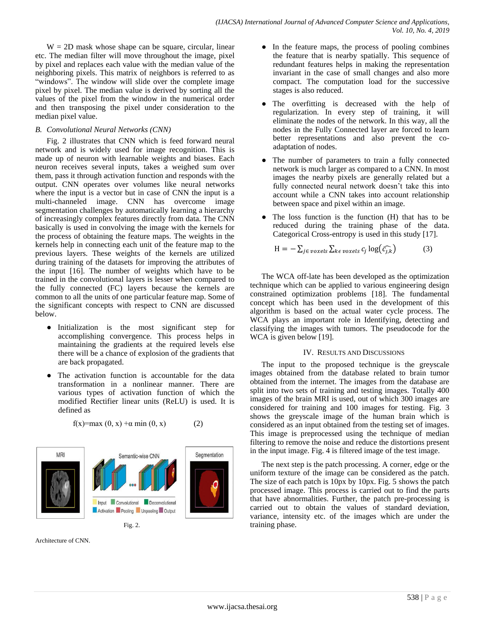$W = 2D$  mask whose shape can be square, circular, linear etc. The median filter will move throughout the image, pixel by pixel and replaces each value with the median value of the neighboring pixels. This matrix of neighbors is referred to as "windows". The window will slide over the complete image pixel by pixel. The median value is derived by sorting all the values of the pixel from the window in the numerical order and then transposing the pixel under consideration to the median pixel value.

# *B. Convolutional Neural Networks (CNN)*

Fig. 2 illustrates that CNN which is feed forward neural network and is widely used for image recognition. This is made up of neuron with learnable weights and biases. Each neuron receives several inputs, takes a weighed sum over them, pass it through activation function and responds with the output. CNN operates over volumes like neural networks where the input is a vector but in case of CNN the input is a multi-channeled image. CNN has overcome image segmentation challenges by automatically learning a hierarchy of increasingly complex features directly from data. The CNN basically is used in convolving the image with the kernels for the process of obtaining the feature maps. The weights in the kernels help in connecting each unit of the feature map to the previous layers. These weights of the kernels are utilized during training of the datasets for improving the attributes of the input [16]. The number of weights which have to be trained in the convolutional layers is lesser when compared to the fully connected (FC) layers because the kernels are common to all the units of one particular feature map. Some of the significant concepts with respect to CNN are discussed below.

- Initialization is the most significant step for accomplishing convergence. This process helps in maintaining the gradients at the required levels else there will be a chance of explosion of the gradients that are back propagated.
- The activation function is accountable for the data transformation in a nonlinear manner. There are various types of activation function of which the modified Rectifier linear units (ReLU) is used. It is defined as

f(x)=max  $(0, x) + \alpha$  min  $(0, x)$  (2)



Architecture of CNN.

- In the feature maps, the process of pooling combines the feature that is nearby spatially. This sequence of redundant features helps in making the representation invariant in the case of small changes and also more compact. The computation load for the successive stages is also reduced.
- The overfitting is decreased with the help of regularization. In every step of training, it will eliminate the nodes of the network. In this way, all the nodes in the Fully Connected layer are forced to learn better representations and also prevent the coadaptation of nodes.
- The number of parameters to train a fully connected network is much larger as compared to a CNN. In most images the nearby pixels are generally related but a fully connected neural network doesn't take this into account while a CNN takes into account relationship between space and pixel within an image.
- The loss function is the function  $(H)$  that has to be reduced during the training phase of the data. Categorical Cross-entropy is used in this study [17].

$$
H = -\sum_{j \in \text{voxels}} \sum_{k \in \text{voxels}} c_j \log(\widehat{c_{j,k}})
$$
(3)

The WCA off-late has been developed as the optimization technique which can be applied to various engineering design constrained optimization problems [18]. The fundamental concept which has been used in the development of this algorithm is based on the actual water cycle process. The WCA plays an important role in Identifying, detecting and classifying the images with tumors. The pseudocode for the WCA is given below [19].

# IV. RESULTS AND DISCUSSIONS

The input to the proposed technique is the greyscale images obtained from the database related to brain tumor obtained from the internet. The images from the database are split into two sets of training and testing images. Totally 400 images of the brain MRI is used, out of which 300 images are considered for training and 100 images for testing. Fig. 3 shows the greyscale image of the human brain which is considered as an input obtained from the testing set of images. This image is preprocessed using the technique of median filtering to remove the noise and reduce the distortions present in the input image. Fig. 4 is filtered image of the test image.

The next step is the patch processing. A corner, edge or the uniform texture of the image can be considered as the patch. The size of each patch is 10px by 10px. Fig. 5 shows the patch processed image. This process is carried out to find the parts that have abnormalities. Further, the patch pre-processing is carried out to obtain the values of standard deviation, variance, intensity etc. of the images which are under the training phase.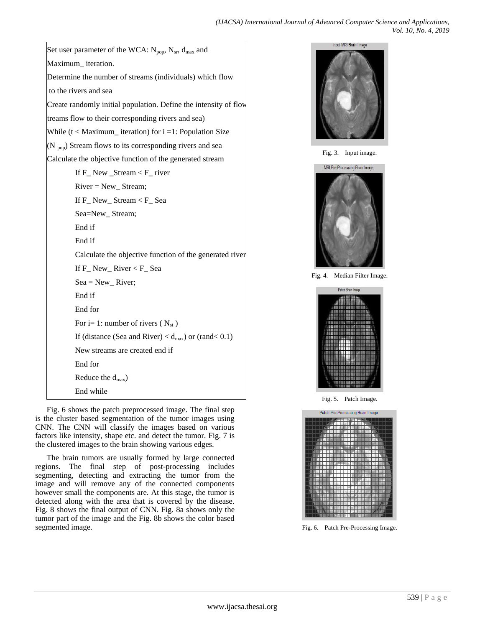| Set user parameter of the WCA: $N_{pop}$ , $N_{sr}$ , $d_{max}$ and   |
|-----------------------------------------------------------------------|
| Maximum_iteration.                                                    |
| Determine the number of streams (individuals) which flow              |
| to the rivers and sea                                                 |
| Create randomly initial population. Define the intensity of flow      |
| treams flow to their corresponding rivers and sea)                    |
| While $(t <$ Maximum_ iteration) for $i = 1$ : Population Size        |
| (N $_{\text{pop}}$ ) Stream flows to its corresponding rivers and sea |
| Calculate the objective function of the generated stream              |
| If $F$ <sub>_</sub> New _Stream < $F$ <sub>_</sub> river              |
| $River = New_{}$ Stream;                                              |
| If $F$ <sub>_</sub> New <sub>_</sub> Stream < $F$ <sub>_</sub> Sea    |
| Sea=New_Stream;                                                       |
| End if                                                                |
| End if                                                                |
| Calculate the objective function of the generated river               |
| If $F_{R}$ New <sub>-</sub> River $F_{R}$ Sea                         |
| $\text{Sea} = \text{New}_{\_}$ River;                                 |
| End if                                                                |
| End for                                                               |
| For i= 1: number of rivers ( $N_{st}$ )                               |
| If (distance (Sea and River) $< d_{max}$ ) or (rand $< 0.1$ )         |
| New streams are created end if                                        |
| End for                                                               |
| Reduce the $d_{max}$ )                                                |
| End while                                                             |

Fig. 6 shows the patch preprocessed image. The final step is the cluster based segmentation of the tumor images using CNN. The CNN will classify the images based on various factors like intensity, shape etc. and detect the tumor. Fig. 7 is the clustered images to the brain showing various edges.

The brain tumors are usually formed by large connected regions. The final step of post-processing includes segmenting, detecting and extracting the tumor from the image and will remove any of the connected components however small the components are. At this stage, the tumor is detected along with the area that is covered by the disease. Fig. 8 shows the final output of CNN. Fig. 8a shows only the tumor part of the image and the Fig. 8b shows the color based segmented image.



Fig. 3. Input image.



Fig. 4. Median Filter Image.



Fig. 5. Patch Image.



Fig. 6. Patch Pre-Processing Image.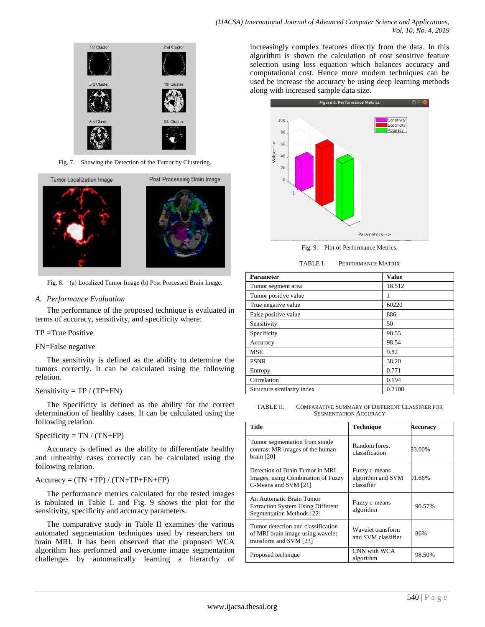

Fig. 7. Showing the Detection of the Tumor by Clustering.



Fig. 8. (a) Localized Tumor Image (b) Post Processed Brain Image.

### *A. Performance Evaluation*

The performance of the proposed technique is evaluated in terms of accuracy, sensitivity, and specificity where:

### TP =True Positive

#### FN=False negative

The sensitivity is defined as the ability to determine the tumors correctly. It can be calculated using the following relation.

# Sensitivity =  $TP / (TP + FN)$

The Specificity is defined as the ability for the correct determination of healthy cases. It can be calculated using the following relation.

### $Specificity = TN / (TN + FP)$

Accuracy is defined as the ability to differentiate healthy and unhealthy cases correctly can be calculated using the following relation.

 $Accuracy = (TN + TP) / (TN + TP + FN + FP)$ 

The performance metrics calculated for the tested images is tabulated in Table I. and Fig. 9 shows the plot for the sensitivity, specificity and accuracy parameters.

The comparative study in Table II examines the various automated segmentation techniques used by researchers on brain MRI. It has been observed that the proposed WCA algorithm has performed and overcome image segmentation challenges by automatically learning a hierarchy of increasingly complex features directly from the data. In this algorithm is shown the calculation of cost sensitive feature selection using loss equation which balances accuracy and computational cost. Hence more modern techniques can be used be increase the accuracy be using deep learning methods along with increased sample data size.



Fig. 9. Plot of Performance Metrics.

TABLE I. PERFORMANCE MATRIX

| <b>Parameter</b>           | <b>Value</b> |
|----------------------------|--------------|
| Tumor segment area         | 18.512       |
| Tumor positive value       | 1            |
| True negative value        | 60220        |
| False positive value       | 886          |
| Sensitivity                | 50           |
| Specificity                | 98.55        |
| Accuracy                   | 98.54        |
| <b>MSE</b>                 | 9.82         |
| <b>PSNR</b>                | 38.20        |
| Entropy                    | 0.771        |
| Correlation                | 0.194        |
| Structure similarity index | 0.2108       |

TABLE II. COMPARATIVE SUMMARY OF DIFFERENT CLASSIFIER FOR SEGMENTATION ACCURACY

| <b>Title</b>                                                                                      | <b>Technique</b>                                 | Accuracv |
|---------------------------------------------------------------------------------------------------|--------------------------------------------------|----------|
| Tumor segmentation from single<br>contrast MR images of the human<br>brain [20]                   | Random forest<br>classification                  | 83.00%   |
| Detection of Brain Tumor in MRI<br>Images, using Combination of Fuzzy<br>C-Means and SVM [21]     | Fuzzy c-means<br>algorithm and SVM<br>classifier | 91.66%   |
| An Automatic Brain Tumor<br><b>Extraction System Using Different</b><br>Segmentation Methods [22] | Fuzzy c-means<br>algorithm                       | 90.57%   |
| Tumor detection and classification<br>of MRI brain image using wavelet<br>transform and SVM [23]  | Wavelet transform<br>and SVM classifier          | 86%      |
| Proposed technique                                                                                | CNN with WCA<br>algorithm                        | 98.50%   |